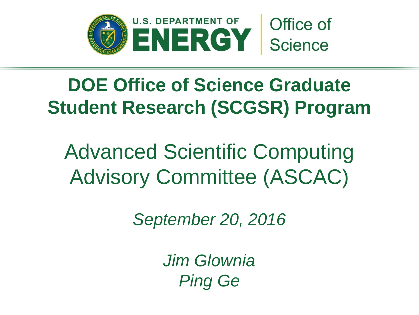

# **DOE Office of Science Graduate Student Research (SCGSR) Program**

Advanced Scientific Computing Advisory Committee (ASCAC)

*September 20, 2016*

*Jim Glownia Ping Ge*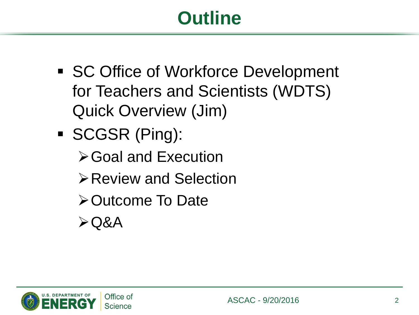# **Outline**

- SC Office of Workforce Development for Teachers and Scientists (WDTS) Quick Overview (Jim)
- SCGSR (Ping):
	- **≻Goal and Execution**
	- Review and Selection
	- **≻Outcome To Date**
	- $\triangle$ Q&A

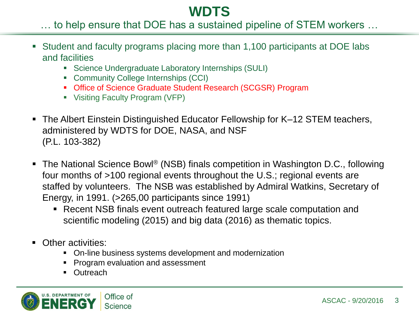### **WDTS**

### … to help ensure that DOE has a sustained pipeline of STEM workers …

- Student and faculty programs placing more than 1,100 participants at DOE labs and facilities
	- **Science Undergraduate Laboratory Internships (SULI)**
	- Community College Internships (CCI)
	- Office of Science Graduate Student Research (SCGSR) Program
	- Visiting Faculty Program (VFP)
- The Albert Einstein Distinguished Educator Fellowship for K–12 STEM teachers, administered by WDTS for DOE, NASA, and NSF (P.L. 103-382)
- The National Science Bowl<sup>®</sup> (NSB) finals competition in Washington D.C., following four months of >100 regional events throughout the U.S.; regional events are staffed by volunteers. The NSB was established by Admiral Watkins, Secretary of Energy, in 1991. (>265,00 participants since 1991)
	- Recent NSB finals event outreach featured large scale computation and scientific modeling (2015) and big data (2016) as thematic topics.
- Other activities:
	- On-line business systems development and modernization
	- **Program evaluation and assessment**
	- **•** Outreach

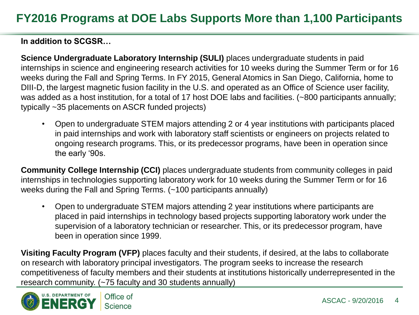**In addition to SCGSR…**

**Science Undergraduate Laboratory Internship (SULI)** places undergraduate students in paid internships in science and engineering research activities for 10 weeks during the Summer Term or for 16 weeks during the Fall and Spring Terms. In FY 2015, General Atomics in San Diego, California, home to DIII-D, the largest magnetic fusion facility in the U.S. and operated as an Office of Science user facility, was added as a host institution, for a total of 17 host DOE labs and facilities. (~800 participants annually; typically ~35 placements on ASCR funded projects)

• Open to undergraduate STEM majors attending 2 or 4 year institutions with participants placed in paid internships and work with laboratory staff scientists or engineers on projects related to ongoing research programs. This, or its predecessor programs, have been in operation since the early '90s.

**Community College Internship (CCI)** places undergraduate students from community colleges in paid internships in technologies supporting laboratory work for 10 weeks during the Summer Term or for 16 weeks during the Fall and Spring Terms. (~100 participants annually)

• Open to undergraduate STEM majors attending 2 year institutions where participants are placed in paid internships in technology based projects supporting laboratory work under the supervision of a laboratory technician or researcher. This, or its predecessor program, have been in operation since 1999.

**Visiting Faculty Program (VFP)** places faculty and their students, if desired, at the labs to collaborate on research with laboratory principal investigators. The program seeks to increase the research competitiveness of faculty members and their students at institutions historically underrepresented in the research community. (~75 faculty and 30 students annually)

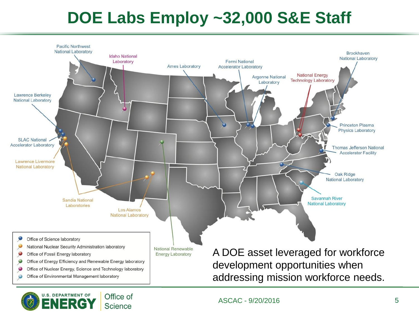## **DOE Labs Employ ~32,000 S&E Staff**





ASCAC - 9/20/2016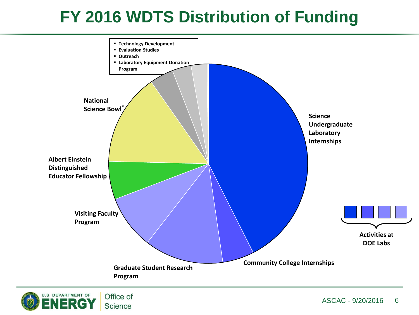## **FY 2016 WDTS Distribution of Funding**



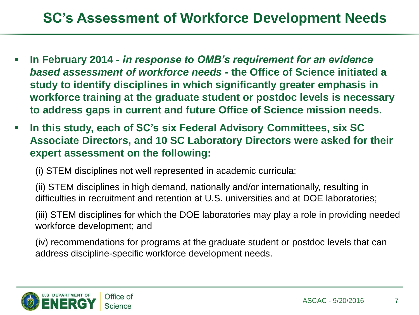## **SC's Assessment of Workforce Development Needs**

- **In February 2014** *- in response to OMB's requirement for an evidence based assessment of workforce needs -* **the Office of Science initiated a study to identify disciplines in which significantly greater emphasis in workforce training at the graduate student or postdoc levels is necessary to address gaps in current and future Office of Science mission needs.**
- **In this study, each of SC's six Federal Advisory Committees, six SC Associate Directors, and 10 SC Laboratory Directors were asked for their expert assessment on the following:**

(i) STEM disciplines not well represented in academic curricula;

(ii) STEM disciplines in high demand, nationally and/or internationally, resulting in difficulties in recruitment and retention at U.S. universities and at DOE laboratories;

(iii) STEM disciplines for which the DOE laboratories may play a role in providing needed workforce development; and

(iv) recommendations for programs at the graduate student or postdoc levels that can address discipline-specific workforce development needs.

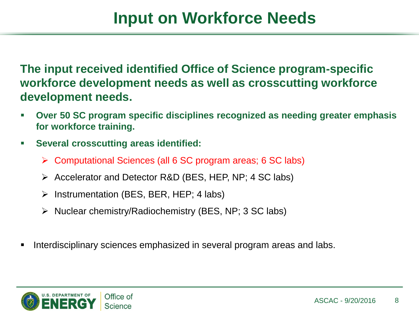**The input received identified Office of Science program-specific workforce development needs as well as crosscutting workforce development needs.** 

- **Over 50 SC program specific disciplines recognized as needing greater emphasis for workforce training.**
- **Several crosscutting areas identified:**
	- Computational Sciences (all 6 SC program areas; 6 SC labs)
	- $\triangleright$  Accelerator and Detector R&D (BES, HEP, NP; 4 SC labs)
	- $\triangleright$  Instrumentation (BES, BER, HEP; 4 labs)
	- $\triangleright$  Nuclear chemistry/Radiochemistry (BES, NP; 3 SC labs)
- Interdisciplinary sciences emphasized in several program areas and labs.

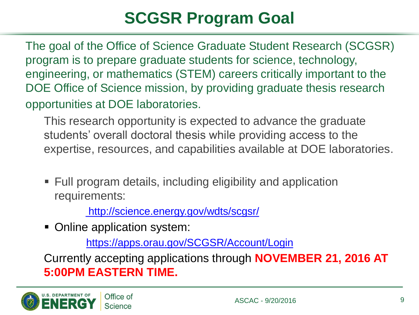## **SCGSR Program Goal**

The goal of the Office of Science Graduate Student Research (SCGSR) program is to prepare graduate students for science, technology, engineering, or mathematics (STEM) careers critically important to the DOE Office of Science mission, by providing graduate thesis research opportunities at DOE laboratories.

This research opportunity is expected to advance the graduate students' overall doctoral thesis while providing access to the expertise, resources, and capabilities available at DOE laboratories.

 Full program details, including eligibility and application requirements:

<http://science.energy.gov/wdts/scgsr/>

**-** Online application system:

<https://apps.orau.gov/SCGSR/Account/Login>

Currently accepting applications through **NOVEMBER 21, 2016 AT 5:00PM EASTERN TIME.**

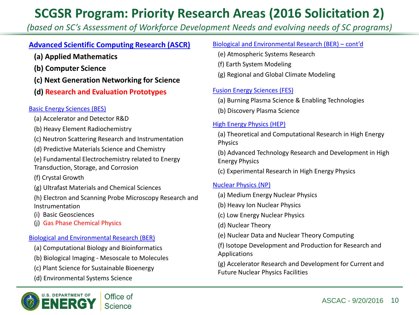### **SCGSR Program: Priority Research Areas (2016 Solicitation 2)**

*(based on SC's Assessment of Workforce Development Needs and evolving needs of SC programs)*

#### **Advanced Scientific Computing Research (ASCR)**

- **(a) Applied Mathematics**
- **(b) Computer Science**
- **(c) Next Generation Networking for Science**
- **(d) Research and Evaluation Prototypes**

#### Basic Energy Sciences (BES)

- (a) Accelerator and Detector R&D
- (b) Heavy Element Radiochemistry
- (c) Neutron Scattering Research and Instrumentation
- (d) Predictive Materials Science and Chemistry
- (e) Fundamental Electrochemistry related to Energy Transduction, Storage, and Corrosion

(f) Crystal Growth

- (g) Ultrafast Materials and Chemical Sciences
- (h) Electron and Scanning Probe Microscopy Research and Instrumentation
- (i) Basic Geosciences
- (j) Gas Phase Chemical Physics

#### Biological and Environmental Research (BER)

- (a) Computational Biology and Bioinformatics
- (b) Biological Imaging Mesoscale to Molecules
- (c) Plant Science for Sustainable Bioenergy
- (d) Environmental Systems Science



#### Biological and Environmental Research (BER) – cont'd

- (e) Atmospheric Systems Research
- (f) Earth System Modeling
- (g) Regional and Global Climate Modeling

#### Fusion Energy Sciences (FES)

- (a) Burning Plasma Science & Enabling Technologies
- (b) Discovery Plasma Science

#### High Energy Physics (HEP)

(a) Theoretical and Computational Research in High Energy Physics

(b) Advanced Technology Research and Development in High Energy Physics

(c) Experimental Research in High Energy Physics

#### Nuclear Physics (NP)

- (a) Medium Energy Nuclear Physics
- (b) Heavy Ion Nuclear Physics
- (c) Low Energy Nuclear Physics
- (d) Nuclear Theory
- (e) Nuclear Data and Nuclear Theory Computing
- (f) Isotope Development and Production for Research and Applications

(g) Accelerator Research and Development for Current and Future Nuclear Physics Facilities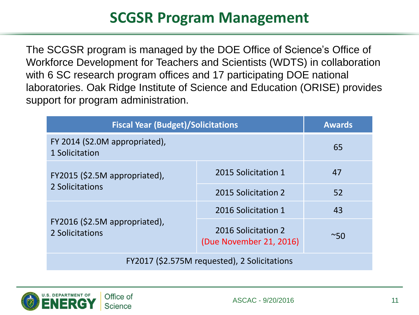## **SCGSR Program Management**

The SCGSR program is managed by the DOE Office of Science's Office of Workforce Development for Teachers and Scientists (WDTS) in collaboration with 6 SC research program offices and 17 participating DOE national laboratories. Oak Ridge Institute of Science and Education (ORISE) provides support for program administration.

| <b>Fiscal Year (Budget)/Solicitations</b>        |                                                | <b>Awards</b> |  |
|--------------------------------------------------|------------------------------------------------|---------------|--|
| FY 2014 (S2.0M appropriated),<br>1 Solicitation  |                                                | 65            |  |
| FY2015 (\$2.5M appropriated),<br>2 Solicitations | 2015 Solicitation 1                            | 47            |  |
|                                                  | 2015 Solicitation 2                            | 52            |  |
| FY2016 (\$2.5M appropriated),<br>2 Solicitations | 2016 Solicitation 1                            | 43            |  |
|                                                  | 2016 Solicitation 2<br>(Due November 21, 2016) | $~\sim$ 50    |  |
| FY2017 (\$2.575M requested), 2 Solicitations     |                                                |               |  |

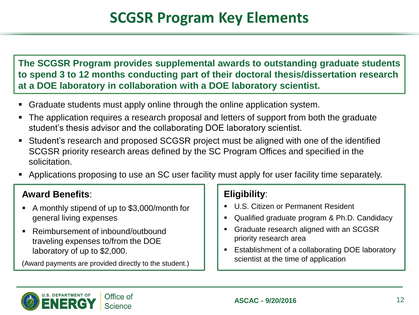**The SCGSR Program provides supplemental awards to outstanding graduate students to spend 3 to 12 months conducting part of their doctoral thesis/dissertation research at a DOE laboratory in collaboration with a DOE laboratory scientist.** 

- Graduate students must apply online through the online application system.
- The application requires a research proposal and letters of support from both the graduate student's thesis advisor and the collaborating DOE laboratory scientist.
- Student's research and proposed SCGSR project must be aligned with one of the identified SCGSR priority research areas defined by the SC Program Offices and specified in the solicitation.
- Applications proposing to use an SC user facility must apply for user facility time separately.

### **Award Benefits**:

- A monthly stipend of up to \$3,000/month for general living expenses
- Reimbursement of inbound/outbound traveling expenses to/from the DOE laboratory of up to \$2,000.

(Award payments are provided directly to the student.)

### **Eligibility**:

- **U.S. Citizen or Permanent Resident**
- Qualified graduate program & Ph.D. Candidacy
- **Graduate research aligned with an SCGSR** priority research area
- **Establishment of a collaborating DOE laboratory** scientist at the time of application

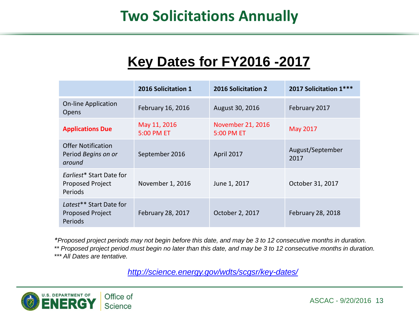### **Two Solicitations Annually**

### **Key Dates for FY2016 -2017**

|                                                                | 2016 Solicitation 1        | <b>2016 Solicitation 2</b>      | 2017 Solicitation 1***   |
|----------------------------------------------------------------|----------------------------|---------------------------------|--------------------------|
| <b>On-line Application</b><br>Opens                            | February 16, 2016          | August 30, 2016                 | February 2017            |
| <b>Applications Due</b>                                        | May 11, 2016<br>5:00 PM ET | November 21, 2016<br>5:00 PM ET | May 2017                 |
| <b>Offer Notification</b><br>Period Begins on or<br>around     | September 2016             | April 2017                      | August/September<br>2017 |
| Farliest* Start Date for<br>Proposed Project<br><b>Periods</b> | November 1, 2016           | June 1, 2017                    | October 31, 2017         |
| Latest** Start Date for<br>Proposed Project<br><b>Periods</b>  | February 28, 2017          | October 2, 2017                 | February 28, 2018        |

*\*Proposed project periods may not begin before this date, and may be 3 to 12 consecutive months in duration. \*\* Proposed project period must begin no later than this date, and may be 3 to 12 consecutive months in duration. \*\*\* All Dates are tentative.*

*<http://science.energy.gov/wdts/scgsr/key-dates/>*

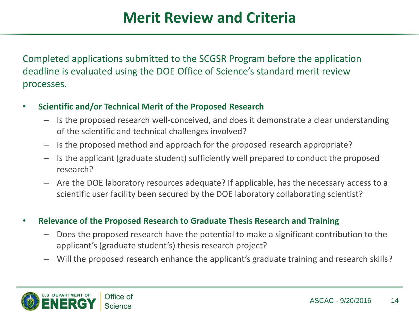Completed applications submitted to the SCGSR Program before the application deadline is evaluated using the DOE Office of Science's standard merit review processes.

- **Scientific and/or Technical Merit of the Proposed Research**
	- Is the proposed research well-conceived, and does it demonstrate a clear understanding of the scientific and technical challenges involved?
	- Is the proposed method and approach for the proposed research appropriate?
	- Is the applicant (graduate student) sufficiently well prepared to conduct the proposed research?
	- Are the DOE laboratory resources adequate? If applicable, has the necessary access to a scientific user facility been secured by the DOE laboratory collaborating scientist?
- **Relevance of the Proposed Research to Graduate Thesis Research and Training**
	- Does the proposed research have the potential to make a significant contribution to the applicant's (graduate student's) thesis research project?
	- Will the proposed research enhance the applicant's graduate training and research skills?

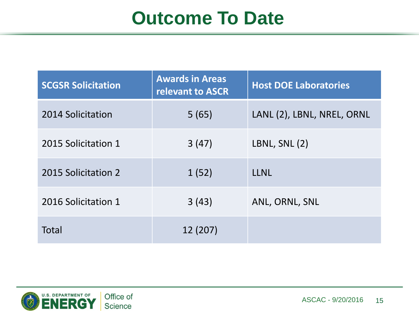# **Outcome To Date**

| <b>SCGSR Solicitation</b> | <b>Awards in Areas</b><br><b>relevant to ASCR</b> | <b>Host DOE Laboratories</b> |
|---------------------------|---------------------------------------------------|------------------------------|
| 2014 Solicitation         | 5(65)                                             | LANL (2), LBNL, NREL, ORNL   |
| 2015 Solicitation 1       | 3(47)                                             | LBNL, SNL (2)                |
| 2015 Solicitation 2       | 1(52)                                             | <b>LLNL</b>                  |
| 2016 Solicitation 1       | 3(43)                                             | ANL, ORNL, SNL               |
| Total                     | 12 (207)                                          |                              |